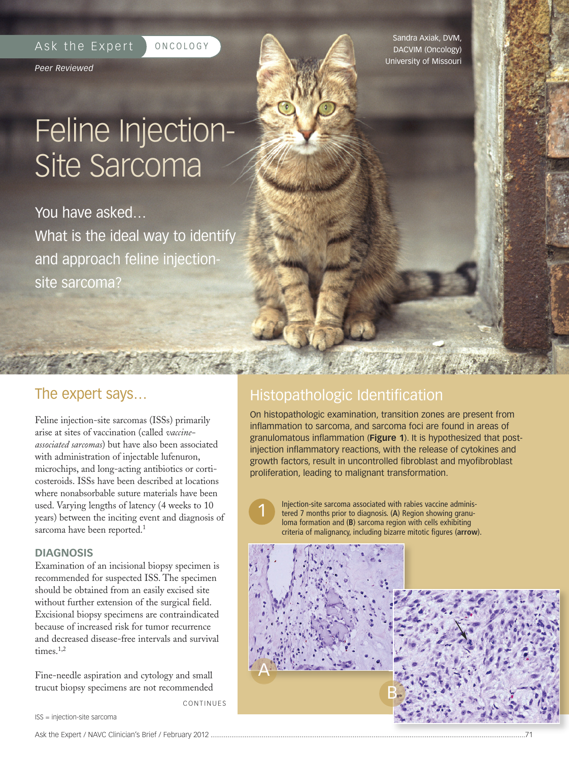#### Ask the Expert | ONCOLOGY

*Peer Reviewed*

## Feline Injection-Site Sarcoma

You have asked… What is the ideal way to identify and approach feline injectionsite sarcoma?

The expert says…

Feline injection-site sarcomas (ISSs) primarily arise at sites of vaccination (called *vaccineassociated sarcomas*) but have also been associated with administration of injectable lufenuron, microchips, and long-acting antibiotics or corticosteroids. ISSs have been described at locations where nonabsorbable suture materials have been used. Varying lengths of latency (4 weeks to 10 years) between the inciting event and diagnosis of sarcoma have been reported. 1

#### **DIAGNOSIS**

Examination of an incisional biopsy specimen is recommended for suspected ISS. The specimen should be obtained from an easily excised site without further extension of the surgical field. Excisional biopsy specimens are contraindicated because of increased risk for tumor recurrence and decreased disease-free intervals and survival times.<sup>1,2</sup>

Fine-needle aspiration and cytology and small trucut biopsy specimens are not recommended

**CONTINUES** 

1

ISS = injection-site sarcoma

Sandra Axiak, DVM, DACVIM (Oncology) University of Missouri

### Histopathologic Identification

On histopathologic examination, transition zones are present from inflammation to sarcoma, and sarcoma foci are found in areas of granulomatous inflammation (**Figure 1**). It is hypothesized that postinjection inflammatory reactions, with the release of cytokines and growth factors, result in uncontrolled fibroblast and myofibroblast proliferation, leading to malignant transformation.

Injection-site sarcoma associated with rabies vaccine administered 7 months prior to diagnosis. (**A**) Region showing granuloma formation and (**B**) sarcoma region with cells exhibiting criteria of malignancy, including bizarre mitotic figures (**arrow**).

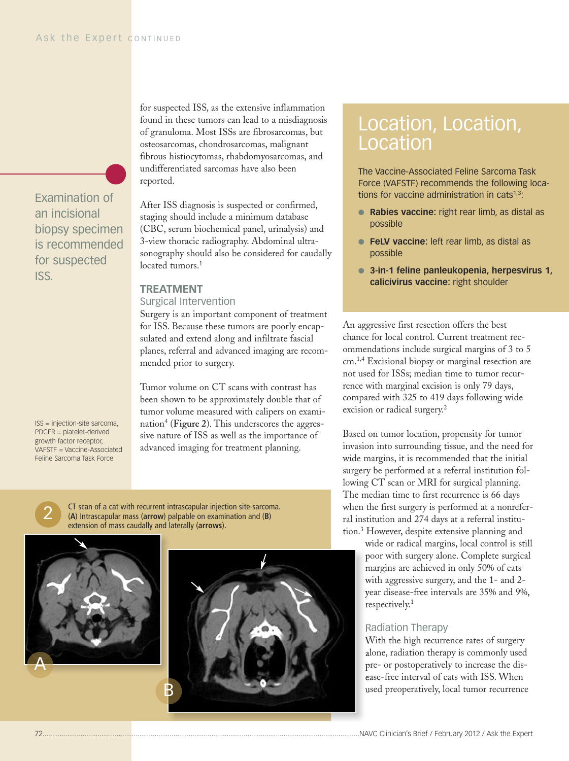Examination of an incisional biopsy specimen is recommended for suspected ISS.

ISS = injection-site sarcoma, PDGFR = platelet-derived growth factor receptor, VAFSTF = Vaccine-Associated for suspected ISS, as the extensive inflammation found in these tumors can lead to a misdiagnosis of granuloma. Most ISSs are fibrosarcomas, but osteosarcomas, chondrosarcomas, malignant fibrous histiocytomas, rhabdomyosarcomas, and undifferentiated sarcomas have also been reported.

After ISS diagnosis is suspected or confirmed, staging should include a minimum database (CBC, serum biochemical panel, urinalysis) and 3-view thoracic radiography. Abdominal ultrasonography should also be considered for caudally located tumors. 1

#### **TREATMENT**

#### Surgical Intervention

Surgery is an important component of treatment for ISS. Because these tumors are poorly encapsulated and extend along and infiltrate fascial planes, referral and advanced imaging are recommended prior to surgery.

Tumor volume on CT scans with contrast has been shown to be approximately double that of tumor volume measured with calipers on examination4 (**Figure 2**). This underscores the aggressive nature of ISS as well as the importance of advanced imaging for treatment planning.



The Vaccine-Associated Feline Sarcoma Task Force (VAFSTF) recommends the following locations for vaccine administration in cats $1,3$ :

- **● Rabies vaccine:** right rear limb, as distal as possible
- **● FeLV vaccine:** left rear limb, as distal as possible
- **● 3-in-1 feline panleukopenia, herpesvirus 1, calicivirus vaccine:** right shoulder

An aggressive first resection offers the best chance for local control. Current treatment recommendations include surgical margins of 3 to 5 cm. 1,4 Excisional biopsy or marginal resection are not used for ISSs; median time to tumor recurrence with marginal excision is only 79 days, compared with 325 to 419 days following wide excision or radical surgery. 2

Based on tumor location, propensity for tumor invasion into surrounding tissue, and the need for wide margins, it is recommended that the initial surgery be performed at a referral institution following CT scan or MRI for surgical planning. The median time to first recurrence is 66 days when the first surgery is performed at a nonreferral institution and 274 days at a referral institution. <sup>3</sup> However, despite extensive planning and

wide or radical margins, local control is still poor with surgery alone. Complete surgical margins are achieved in only 50% of cats with aggressive surgery, and the 1- and 2 year disease-free intervals are 35% and 9%, respectively. 1

#### Radiation Therapy

With the high recurrence rates of surgery alone, radiation therapy is commonly used pre- or postoperatively to increase the disease-free interval of cats with ISS. When used preoperatively, local tumor recurrence

# Feline Sarcoma Task Force

2

CT scan of a cat with recurrent intrascapular injection site-sarcoma. (**A**) Intrascapular mass (**arrow**) palpable on examination and (**B**) extension of mass caudally and laterally (**arrows**).